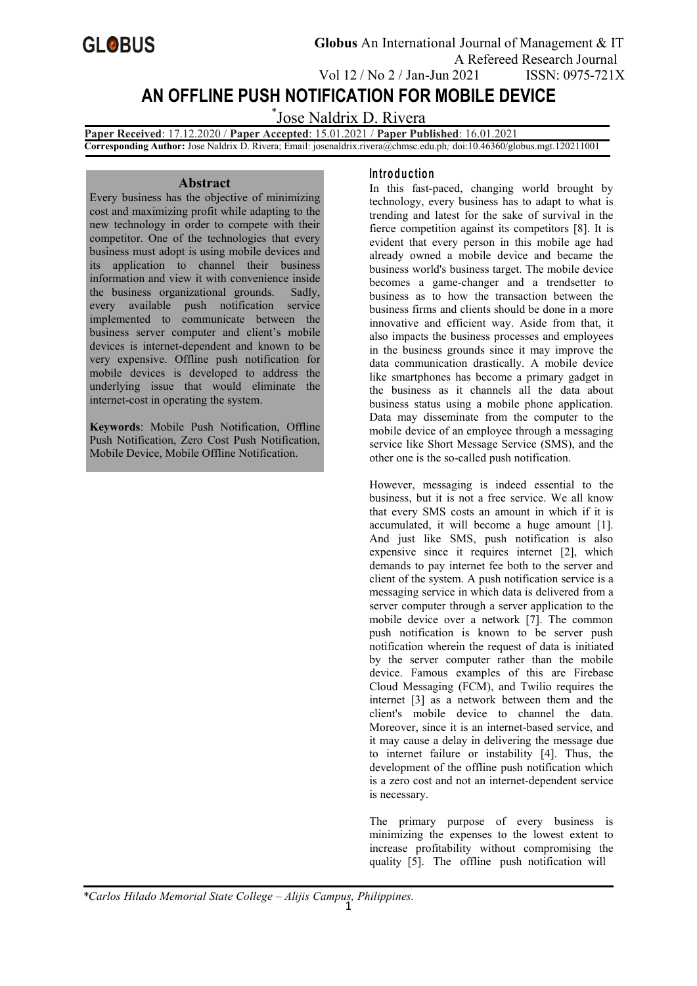

# **AN OFFLINE PUSH NOTIFICATION FOR MOBILE DEVICE**

\*Jose Naldrix D. Rivera

**Paper Received**: 17.12.2020 / **Paper Accepted**: 15.01.2021 / **Paper Published**: 16.01.2021 **Corresponding Author:** Jose Naldrix D. Rivera; Email: [josenaldrix.rivera@chmsc.edu.ph](mailto:josenaldrix.rivera@chmsc.edu.com)*;* doi:10.46360/globus.mgt.120211001

#### **Abstract**

Every business has the objective of minimizing cost and maximizing profit while adapting to the new technology in order to compete with their competitor. One of the technologies that every business must adopt is using mobile devices and its application to channel their business information and view it with convenience inside the business organizational grounds. Sadly, every available push notification service implemented to communicate between the business server computer and client's mobile devices is internet-dependent and known to be very expensive. Offline push notification for mobile devices is developed to address the underlying issue that would eliminate the internet-cost in operating the system.

**Keywords**: Mobile Push Notification, Offline Push Notification, Zero Cost Push Notification, Mobile Device, Mobile Offline Notification.

### **In tro d u c tio n**

In this fast-paced, changing world brought by technology, every business has to adapt to what is trending and latest for the sake of survival in the fierce competition against its competitors [8]. It is evident that every person in this mobile age had already owned a mobile device and became the business world's business target. The mobile device becomes a game-changer and a trendsetter to business as to how the transaction between the business firms and clients should be done in a more innovative and efficient way. Aside from that, it also impacts the business processes and employees in the business grounds since it may improve the data communication drastically. A mobile device like smartphones has become a primary gadget in the business as it channels all the data about business status using a mobile phone application. Data may disseminate from the computer to the mobile device of an employee through a messaging service like Short Message Service (SMS), and the other one is the so-called push notification.

However, messaging is indeed essential to the business, but it is not a free service. We all know that every SMS costs an amount in which if it is accumulated, it will become a huge amount [1]. And just like SMS, push notification is also expensive since it requires internet [2], which demands to pay internet fee both to the server and client of the system. A push notification service is a messaging service in which data is delivered from a server computer through a server application to the mobile device over a network [7]. The common push notification is known to be server push notification wherein the request of data is initiated by the server computer rather than the mobile device. Famous examples of this are Firebase Cloud Messaging (FCM), and Twilio requires the internet [3] as a network between them and the client's mobile device to channel the data. Moreover, since it is an internet-based service, and it may cause a delay in delivering the message due to internet failure or instability [4]. Thus, the development of the offline push notification which is a zero cost and not an internet-dependent service is necessary.

The primary purpose of every business is minimizing the expenses to the lowest extent to increase profitability without compromising the quality [5]. The offline push notification will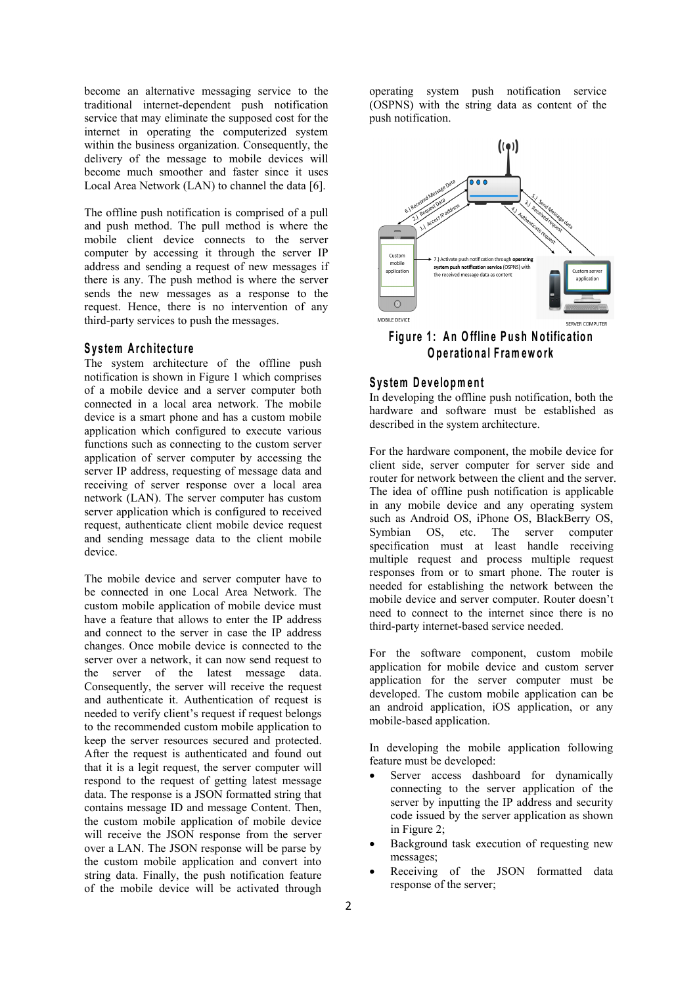become an alternative messaging service to the traditional internet-dependent push notification service that may eliminate the supposed cost for the internet in operating the computerized system within the business organization. Consequently, the delivery of the message to mobile devices will become much smoother and faster since it uses<br>Local Area Network (LAN) to channel the data [6].

The offline push notification is comprised of a pull and push method. The pull method is where the mobile client device connects to the server computer by accessing it through the server  $IP$  and  $\overline{P}$  and  $\overline{P}$  and  $\overline{P}$  and  $\overline{P}$   $\overline{P}$  and  $\overline{P}$   $\overline{P}$   $\overline{P}$   $\overline{P}$   $\overline{P}$   $\overline{P}$   $\overline{P}$   $\overline{P}$   $\overline{P}$   $\overline{P}$   $\overline{P}$   $\overline{P}$  address and sending a request of new messages if  $\|\cdot\|_{\text{spolification}}$ there is any. The push method is where the server sends the new messages as a response to the  $\Box$ request. Hence, there is no intervention of any third-party services to push the messages.

#### **S y s tem A rch ite c tu re**

The system architecture of the offline push notification is shown in Figure 1 which comprises of a mobile device and a server computer both connected in a local area network. The mobile device is a smart phone and has a custom mobile application which configured to execute various functions such as connecting to the custom server application of server computer by accessing the server IP address, requesting of message data and receiving of server response over a local area network (LAN). The server computer has custom server application which is configured to received request, authenticate client mobile device request and sending message data to the client mobile device.

The mobile device and server computer have to be connected in one Local Area Network. The custom mobile application of mobile device must have a feature that allows to enter the IP address and connect to the server in case the IP address changes. Once mobile device is connected to the server over a network, it can now send request to the server of the latest message data. Consequently, the server will receive the request and authenticate it. Authentication of request is needed to verify client's request if request belongs to the recommended custom mobile application to keep the server resources secured and protected. After the request is authenticated and found out that it is a legit request, the server computer will respond to the request of getting latest message data. The response is a JSON formatted string that contains message ID and message Content. Then, the custom mobile application of mobile device will receive the JSON response from the server over a LAN. The JSON response will be parse by the custom mobile application and convert into string data. Finally, the push notification feature of the mobile device will be activated through

operating system push notification service (OSPNS) with the string data as content of the push notification.



**F ig u re 1 : A n O fflin e P u sh N o tific a tio n O p e ra tion a l F ram ew o rk**

#### **Sy s tem D e v e lo pm en t**

In developing the offline push notification, both the hardware and software must be established as described in the system architecture.

For the hardware component, the mobile device for client side, server computer for server side and router for network between the client and the server. The idea of offline push notification is applicable in any mobile device and any operating system such as Android OS, iPhone OS, BlackBerry OS, Symbian OS, etc. The server computer specification must at least handle receiving multiple request and process multiple request responses from or to smart phone. The router is needed for establishing the network between the mobile device and server computer. Router doesn't need to connect to the internet since there is no third-party internet-based service needed.

For the software component, custom mobile application for mobile device and custom server application for the server computer must be developed. The custom mobile application can be an android application, iOS application, or any mobile-based application.

In developing the mobile application following feature must be developed:

- Server access dashboard for dynamically connecting to the server application of the server by inputting the IP address and security code issued by the server application as shown in Figure 2;
- Background task execution of requesting new messages;
- Receiving of the JSON formatted data response of the server;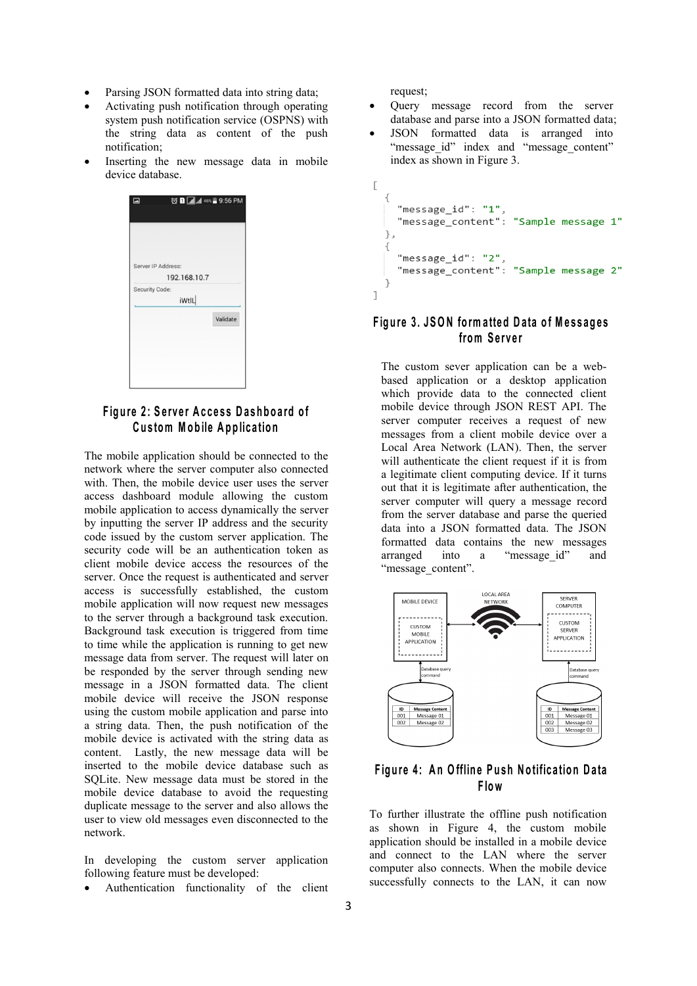- Parsing JSON formatted data into string data;
- Activating push notification through operating system push notification service (OSPNS) with the string data as content of the push notification;
- Inserting the new message data in mobile device database.



### Figure 2: Server Access Dashboard of **C u s tom Mo b ile A p p lica tio n**

The mobile application should be connected to the network where the server computer also connected with. Then, the mobile device user uses the server access dashboard module allowing the custom mobile application to access dynamically the server by inputting the server IP address and the security code issued by the custom server application. The security code will be an authentication token as arranged client mobile device access the resources of the server. Once the request is authenticated and server access is successfully established, the custom mobile application will now request new messages to the server through a background task execution. Background task execution is triggered from time to time while the application is running to get new message data from server. The request will later on be responded by the server through sending new message in a JSON formatted data. The client mobile device will receive the JSON response<br>using the custom mobile application and parse into using the custom mobile application and parse into a string data. Then, the push notification of the mobile device is activated with the string data as content. Lastly, the new message data will be inserted to the mobile device database such as SQLite. New message data must be stored in the mobile device database to avoid the requesting duplicate message to the server and also allows the user to view old messages even disconnected to the network.

In developing the custom server application following feature must be developed:

Authentication functionality of the client

request;

- Query message record from the server database and parse into a JSON formatted data;
- JSON formatted data is arranged into "message\_id" index and "message\_content" index as shown in Figure 3.

```
\overline{1}\{"message_id": "1"
    "message_content": "Sample message 1"
  \} ,
  ₹
     "message_id": "2",
     "message_content": "Sample message 2"
\overline{1}
```
### **F ig u re3 . JSO N fo rm a tted D a ta o f M e s s ag e s from Server**

The custom sever application can be a web based application or a desktop application which provide data to the connected client mobile device through JSON REST API. The server computer receives a request of new messages from a client mobile device over a Local Area Network (LAN). Then, the server will authenticate the client request if it is from a legitimate client computing device. If it turns out that it is legitimate after authentication, the server computer will query a message record from the server database and parse the queried data into a JSON formatted data. The JSON formatted data contains the new messages into a "message id" and "message\_content".



## **F ig u re 4 : A n O fflin e P u sh N o tific a tio n D a ta F low**

To further illustrate the offline push notification as shown in Figure 4, the custom mobile application should be installed in a mobile device and connect to the LAN where the server computer also connects. When the mobile device successfully connects to the LAN, it can now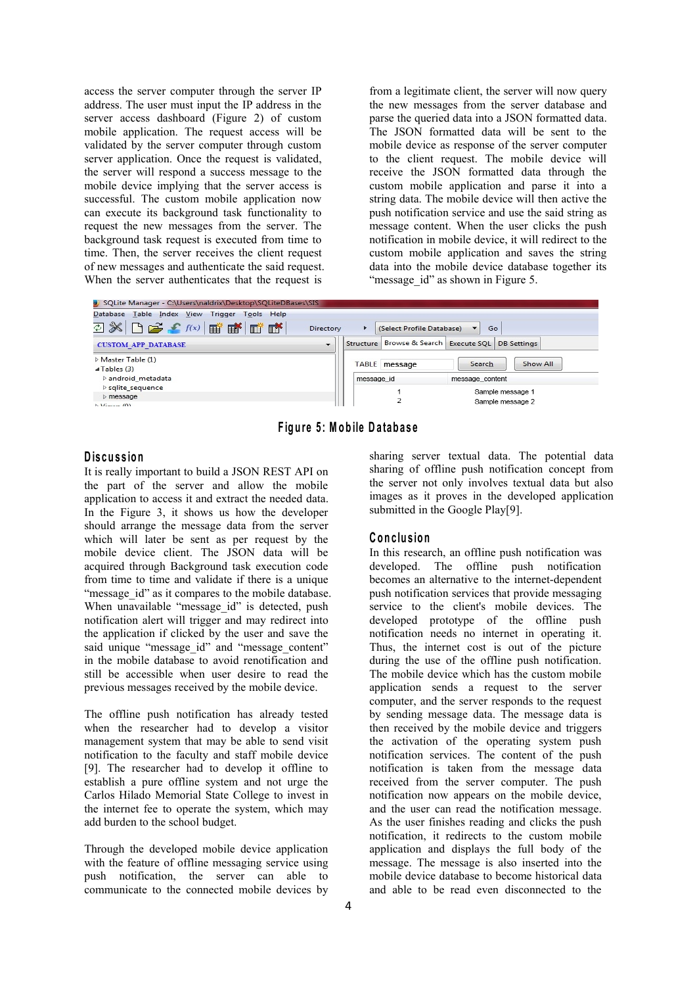access the server computer through the server IP address. The user must input the IP address in the server access dashboard (Figure 2) of custom mobile application. The request access will be validated by the server computer through custom server application. Once the request is validated, the server will respond a success message to the mobile device implying that the server access is successful. The custom mobile application now can execute its background task functionality to request the new messages from the server. The background task request is executed from time to time. Then, the server receives the client request of new messages and authenticate the said request. When the server authenticates that the request is

from a legitimate client, the server will now query the new messages from the server database and parse the queried data into a JSON formatted data. The JSON formatted data will be sent to the mobile device as response of the server computer to the client request. The mobile device will receive the JSON formatted data through the custom mobile application and parse it into a string data. The mobile device will then active the push notification service and use the said string as message content. When the user clicks the push notification in mobile device, it will redirect to the custom mobile application and saves the string data into the mobile device database together its "message id" as shown in Figure 5.

| SQLite Manager - C:\Users\naldrix\Desktop\SQLiteDBases\SIS      |           |                           |                           |                          |                    |  |
|-----------------------------------------------------------------|-----------|---------------------------|---------------------------|--------------------------|--------------------|--|
| Database Table Index View Trigger Tools Help                    |           |                           |                           |                          |                    |  |
| 28 B ゴ f f(x) ゴ ゴ ゴ ゴ                                           | Directory | ٠                         | (Select Profile Database) | $\overline{\phantom{0}}$ | Go                 |  |
| <b>CUSTOM APP DATABASE</b>                                      | $\cdot$   | Structure Browse & Search |                           | Execute SQL              | <b>DB</b> Settings |  |
| $\triangleright$ Master Table (1)<br>$\triangleleft$ Tables (3) |           | TABLE message             |                           | Search                   | Show All           |  |
| $\triangleright$ android metadata                               |           | message id                |                           | message content          |                    |  |
| $\triangleright$ sqlite sequence                                |           |                           |                           |                          | Sample message 1   |  |
| $\rangle$ message                                               |           |                           |                           |                          | Sample message 2   |  |
| $N$ <i>Viener (O)</i>                                           |           |                           |                           |                          |                    |  |

**F ig u re 5 : M o b ile D a tab a se**

### **D is cu s s io n**

It is really important to build a JSON REST API on the part of the server and allow the mobile application to access it and extract the needed data. In the Figure 3, it shows us how the developer should arrange the message data from the server which will later be sent as per request by the mobile device client. The JSON data will be acquired through Background task execution code from time to time and validate if there is a unique "message id" as it compares to the mobile database. When unavailable "message id" is detected, push notification alert will trigger and may redirect into the application if clicked by the userand save the said unique "message id" and "message content" in the mobile database to avoid renotification and still be accessible when user desire to read the previous messages received by the mobile device.

The offline push notification has already tested when the researcher had to develop a visitor management system that may be able to send visit notification to the faculty and staff mobile device [9]. The researcher had to develop it offline to establish a pure offline system and not urge the Carlos Hilado Memorial State College to invest in the internet fee to operate the system, which may add burden to the school budget.

Through the developed mobile device application with the feature of offline messaging service using push notification, the server can able to communicate to the connected mobile devices by

sharing server textual data. The potential data sharing of offline push notification concept from the server not only involves textual data but also images as it proves in the developed application submitted in the Google Play[9].

#### $C$  onclusion

In this research, an offline push notification was developed. The offline push notification becomes an alternative to the internet-dependent push notification services that provide messaging service to the client's mobile devices. The developed prototype of the offline push notification needs no internet in operating it. Thus, the internet cost is out of the picture during the use of the offline push notification. The mobile device which has the custom mobile application sends a request to the server computer, and the server responds to the request by sending message data. The message data is then received by the mobile device and triggers the activation of the operating system push notification services. The content of the push notification is taken from the message data received from the server computer. The push notification now appears on the mobile device, and the user can read the notification message. As the user finishes reading and clicks the push notification, it redirects to the custom mobile application and displays the full body of the message. The message is also inserted into the mobile device database to become historical data and able to be read even disconnected to the